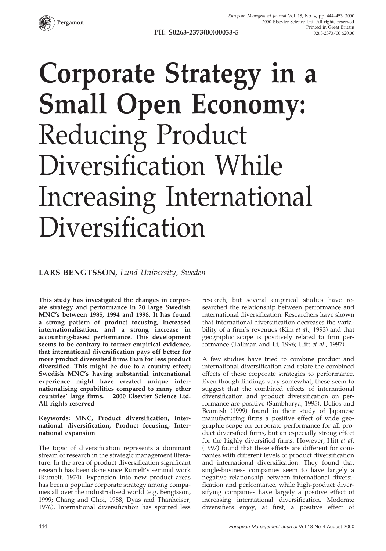

## **Corporate Strategy in a Small Open Economy:** Reducing Product Diversification While Increasing International Diversification

## **LARS BENGTSSON,** *Lund University, Sweden*

**This study has investigated the changes in corporate strategy and performance in 20 large Swedish MNC's between 1985, 1994 and 1998. It has found a strong pattern of product focusing, increased internationalisation, and a strong increase in accounting-based performance. This development seems to be contrary to former empirical evidence, that international diversification pays off better for more product diversified firms than for less product diversified. This might be due to a country effect; Swedish MNC's having substantial international experience might have created unique internationalising capabilities compared to many other countries' large firms. 2000 Elsevier Science Ltd. All rights reserved**

**Keywords: MNC, Product diversification, International diversification, Product focusing, International expansion**

The topic of diversification represents a dominant stream of research in the strategic management literature. In the area of product diversification significant research has been done since Rumelt's seminal work (Rumelt, 1974). Expansion into new product areas has been a popular corporate strategy among companies all over the industrialised world (e.g. Bengtsson, 1999; Chang and Choi, 1988; Dyas and Thanheiser, 1976). International diversification has spurred less

research, but several empirical studies have researched the relationship between performance and international diversification. Researchers have shown that international diversification decreases the variability of a firm's revenues (Kim *et al*., 1993) and that geographic scope is positively related to firm performance (Tallman and Li, 1996; Hitt *et al*., 1997).

A few studies have tried to combine product and international diversification and relate the combined effects of these corporate strategies to performance. Even though findings vary somewhat, these seem to suggest that the combined effects of international diversification and product diversification on performance are positive (Sambharya, 1995). Delios and Beamish (1999) found in their study of Japanese manufacturing firms a positive effect of wide geographic scope on corporate performance for all product diversified firms, but an especially strong effect for the highly diversified firms. However, Hitt *et al*. (1997) found that these effects are different for companies with different levels of product diversification and international diversification. They found that single-business companies seem to have largely a negative relationship between international diversification and performance, while high-product diversifying companies have largely a positive effect of increasing international diversification. Moderate diversifiers enjoy, at first, a positive effect of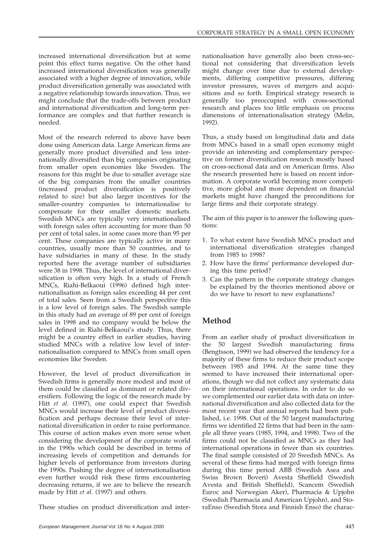increased international diversification but at some point this effect turns negative. On the other hand increased international diversification was generally associated with a higher degree of innovation, while product diversification generally was associated with a negative relationship towards innovation. Thus, we might conclude that the trade-offs between product and international diversification and long-term performance are complex and that further research is needed.

Most of the research referred to above have been done using American data. Large American firms are generally more product diversified and less internationally diversified than big companies originating from smaller open economies like Sweden. The reasons for this might be due to smaller average size of the big companies from the smaller countries (increased product diversification is positively related to size) but also larger incentives for the smaller-country companies to internationalise to compensate for their smaller domestic markets. Swedish MNCs are typically very internationalised with foreign sales often accounting for more than 50 per cent of total sales, in some cases more than 95 per cent. These companies are typically active in many countries, usually more than 50 countries, and to have subsidiaries in many of these. In the study reported here the average number of subsidiaries were 38 in 1998. Thus, the level of international diversification is often very high. In a study of French MNCs, Riahi-Belkaoui (1996) defined high internationalisation as foreign sales exceeding 44 per cent of total sales. Seen from a Swedish perspective this is a low level of foreign sales. The Swedish sample in this study had an average of 89 per cent of foreign sales in 1998 and no company would be below the level defined in Riahi-Belkaoui's study. Thus, there might be a country effect in earlier studies, having studied MNCs with a relative low level of internationalisation compared to MNCs from small open economies like Sweden.

However, the level of product diversification in Swedish firms is generally more modest and most of them could be classified as dominant or related diversifiers. Following the logic of the research made by Hitt *et al*. (1997), one could expect that Swedish MNCs would increase their level of product diversification and perhaps decrease their level of international diversification in order to raise performance. This course of action makes even more sense when considering the development of the corporate world in the 1990s which could be described in terms of increasing levels of competition and demands for higher levels of performance from investors during the 1990s. Pushing the degree of internationalisation even further would risk these firms encountering decreasing returns, if we are to believe the research made by Hitt *et al*. (1997) and others.

These studies on product diversification and inter-

nationalisation have generally also been cross-sectional not considering that diversification levels might change over time due to external developments, differing competitive pressures, differing investor pressures, waves of mergers and acquisitions and so forth. Empirical strategy research is generally too preoccupied with cross-sectional research and places too little emphasis on process dimensions of internationalisation strategy (Melin, 1992).

Thus, a study based on longitudinal data and data from MNCs based in a small open economy might provide an interesting and complementary perspective on former diversification research mostly based on cross-sectional data and on American firms. Also the research presented here is based on recent information. A corporate world becoming more competitive, more global and more dependent on financial markets might have changed the preconditions for large firms and their corporate strategy.

The aim of this paper is to answer the following questions:

- 1. To what extent have Swedish MNCs product and international diversification strategies changed from 1985 to 1998?
- 2. How have the firms' performance developed during this time period?
- 3. Can the pattern in the corporate strategy changes be explained by the theories mentioned above or do we have to resort to new explanations?

## **Method**

From an earlier study of product diversification in the 50 largest Swedish manufacturing firms (Bengtsson, 1999) we had observed the tendency for a majority of these firms to reduce their product scope between 1985 and 1994. At the same time they seemed to have increased their international operations, though we did not collect any systematic data on their international operations. In order to do so we complemented our earlier data with data on international diversification and also collected data for the most recent year that annual reports had been published, i.e. 1998. Out of the 50 largest manufacturing firms we identified 22 firms that had been in the sample all three years (1985, 1994, and 1998). Two of the firms could not be classified as MNCs as they had international operations in fewer than six countries. The final sample consisted of 20 Swedish MNCs. As several of these firms had merged with foreign firms during this time period ABB (Swedish Asea and Swiss Brown Boveri) Avesta Sheffield (Swedish Avesta and British Sheffield), Scancem (Swedish Euroc and Norwegian Aker), Pharmacia & Upjohn (Swedish Pharmacia and American Upjohn), and StoraEnso (Swedish Stora and Finnish Enso) the charac-